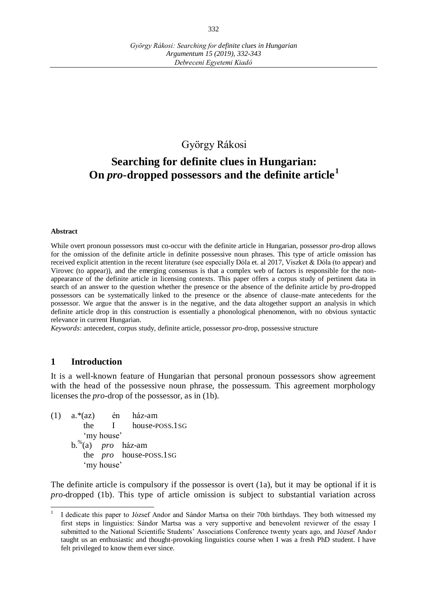## György Rákosi

# **Searching for definite clues in Hungarian: On** *pro***-dropped possessors and the definite article<sup>1</sup>**

#### **Abstract**

While overt pronoun possessors must co-occur with the definite article in Hungarian, possessor *pro*-drop allows for the omission of the definite article in definite possessive noun phrases. This type of article omission has received explicit attention in the recent literature (see especially Dóla et. al 2017, Viszket & Dóla (to appear) and Virovec (to appear)), and the emerging consensus is that a complex web of factors is responsible for the nonappearance of the definite article in licensing contexts. This paper offers a corpus study of pertinent data in search of an answer to the question whether the presence or the absence of the definite article by *pro*-dropped possessors can be systematically linked to the presence or the absence of clause-mate antecedents for the possessor. We argue that the answer is in the negative, and the data altogether support an analysis in which definite article drop in this construction is essentially a phonological phenomenon, with no obvious syntactic relevance in current Hungarian.

*Keywords*: antecedent, corpus study, definite article, possessor *pro*-drop, possessive structure

#### **1 Introduction**

It is a well-known feature of Hungarian that personal pronoun possessors show agreement with the head of the possessive noun phrase, the possessum. This agreement morphology licenses the *pro*-drop of the possessor, as in (1b).

(1) a.\*(az) én ház-am the I house-POSS.1SG ʻmy house' b.% (a) *pro* ház-am the *pro* house-POSS.1SG ʻmy house'

The definite article is compulsory if the possessor is overt (1a), but it may be optional if it is *pro*-dropped (1b). This type of article omission is subject to substantial variation across

<sup>1</sup> I dedicate this paper to József Andor and Sándor Martsa on their 70th birthdays. They both witnessed my first steps in linguistics: Sándor Martsa was a very supportive and benevolent reviewer of the essay I submitted to the National Scientific Students' Associations Conference twenty years ago, and József Andor taught us an enthusiastic and thought-provoking linguistics course when I was a fresh PhD student. I have felt privileged to know them ever since.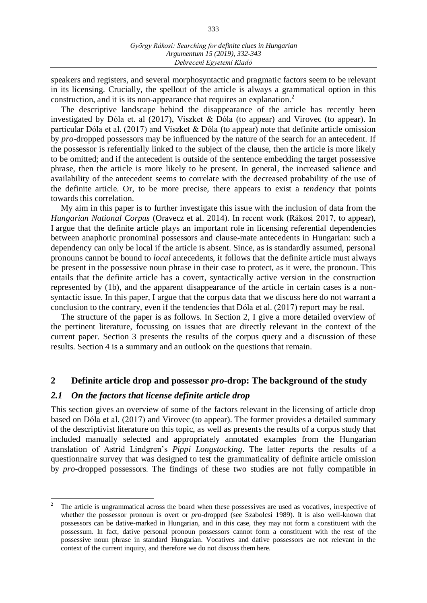333

speakers and registers, and several morphosyntactic and pragmatic factors seem to be relevant in its licensing. Crucially, the spellout of the article is always a grammatical option in this construction, and it is its non-appearance that requires an explanation.<sup>2</sup>

The descriptive landscape behind the disappearance of the article has recently been investigated by Dóla et. al (2017), Viszket & Dóla (to appear) and Virovec (to appear). In particular Dóla et al. (2017) and Viszket & Dóla (to appear) note that definite article omission by *pro*-dropped possessors may be influenced by the nature of the search for an antecedent. If the possessor is referentially linked to the subject of the clause, then the article is more likely to be omitted; and if the antecedent is outside of the sentence embedding the target possessive phrase, then the article is more likely to be present. In general, the increased salience and availability of the antecedent seems to correlate with the decreased probability of the use of the definite article. Or, to be more precise, there appears to exist a *tendency* that points towards this correlation.

My aim in this paper is to further investigate this issue with the inclusion of data from the *Hungarian National Corpus* (Oravecz et al. 2014). In recent work (Rákosi 2017, to appear), I argue that the definite article plays an important role in licensing referential dependencies between anaphoric pronominal possessors and clause-mate antecedents in Hungarian: such a dependency can only be local if the article is absent. Since, as is standardly assumed, personal pronouns cannot be bound to *local* antecedents, it follows that the definite article must always be present in the possessive noun phrase in their case to protect, as it were, the pronoun. This entails that the definite article has a covert, syntactically active version in the construction represented by (1b), and the apparent disappearance of the article in certain cases is a nonsyntactic issue. In this paper, I argue that the corpus data that we discuss here do not warrant a conclusion to the contrary, even if the tendencies that Dóla et al. (2017) report may be real.

The structure of the paper is as follows. In Section 2, I give a more detailed overview of the pertinent literature, focussing on issues that are directly relevant in the context of the current paper. Section 3 presents the results of the corpus query and a discussion of these results. Section 4 is a summary and an outlook on the questions that remain.

## **2 Definite article drop and possessor** *pro***-drop: The background of the study**

### *2.1 On the factors that license definite article drop*

 $\overline{a}$ 

This section gives an overview of some of the factors relevant in the licensing of article drop based on Dóla et al. (2017) and Virovec (to appear). The former provides a detailed summary of the descriptivist literature on this topic, as well as presents the results of a corpus study that included manually selected and appropriately annotated examples from the Hungarian translation of Astrid Lindgren's *Pippi Longstocking*. The latter reports the results of a questionnaire survey that was designed to test the grammaticality of definite article omission by *pro*-dropped possessors. The findings of these two studies are not fully compatible in

<sup>2</sup> The article is ungrammatical across the board when these possessives are used as vocatives, irrespective of whether the possessor pronoun is overt or *pro*-dropped (see Szabolcsi 1989). It is also well-known that possessors can be dative-marked in Hungarian, and in this case, they may not form a constituent with the possessum. In fact, dative personal pronoun possessors cannot form a constituent with the rest of the possessive noun phrase in standard Hungarian. Vocatives and dative possessors are not relevant in the context of the current inquiry, and therefore we do not discuss them here.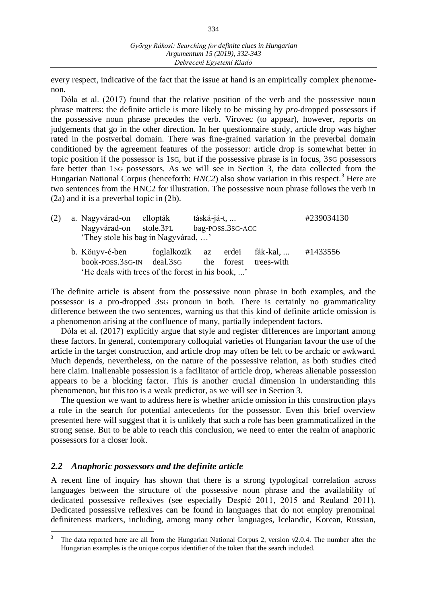334

every respect, indicative of the fact that the issue at hand is an empirically complex phenomenon.

Dóla et al. (2017) found that the relative position of the verb and the possessive noun phrase matters: the definite article is more likely to be missing by *pro*-dropped possessors if the possessive noun phrase precedes the verb. Virovec (to appear), however, reports on judgements that go in the other direction. In her questionnaire study, article drop was higher rated in the postverbal domain. There was fine-grained variation in the preverbal domain conditioned by the agreement features of the possessor: article drop is somewhat better in topic position if the possessor is 1SG, but if the possessive phrase is in focus, 3SG possessors fare better than 1SG possessors. As we will see in Section 3, the data collected from the Hungarian National Corpus (henceforth: *HNC2*) also show variation in this respect.<sup>3</sup> Here are two sentences from the HNC2 for illustration. The possessive noun phrase follows the verb in (2a) and it is a preverbal topic in (2b).

| (2) | a. Nagyvárad-on ellopták                                      | táská-já-t, |                  | #239034130                                  |          |  |
|-----|---------------------------------------------------------------|-------------|------------------|---------------------------------------------|----------|--|
|     | Nagyvárad-on stole.3PL<br>'They stole his bag in Nagyvárad, ' |             | bag-POSS.3SG-ACC |                                             |          |  |
|     | b. Könyv-é-ben<br>book-POSS.3sG-IN deal.3sG                   |             | the forest       | foglalkozik az erdei fák-kal,<br>trees-with | #1433556 |  |
|     | 'He deals with trees of the forest in his book, '             |             |                  |                                             |          |  |

The definite article is absent from the possessive noun phrase in both examples, and the possessor is a pro-dropped 3SG pronoun in both. There is certainly no grammaticality difference between the two sentences, warning us that this kind of definite article omission is a phenomenon arising at the confluence of many, partially independent factors.

Dóla et al. (2017) explicitly argue that style and register differences are important among these factors. In general, contemporary colloquial varieties of Hungarian favour the use of the article in the target construction, and article drop may often be felt to be archaic or awkward. Much depends, nevertheless, on the nature of the possessive relation, as both studies cited here claim. Inalienable possession is a facilitator of article drop, whereas alienable possession appears to be a blocking factor. This is another crucial dimension in understanding this phenomenon, but this too is a weak predictor, as we will see in Section 3.

The question we want to address here is whether article omission in this construction plays a role in the search for potential antecedents for the possessor. Even this brief overview presented here will suggest that it is unlikely that such a role has been grammaticalized in the strong sense. But to be able to reach this conclusion, we need to enter the realm of anaphoric possessors for a closer look.

## *2.2 Anaphoric possessors and the definite article*

 $\overline{a}$ 

A recent line of inquiry has shown that there is a strong typological correlation across languages between the structure of the possessive noun phrase and the availability of dedicated possessive reflexives (see especially Despić 2011, 2015 and Reuland 2011). Dedicated possessive reflexives can be found in languages that do not employ prenominal definiteness markers, including, among many other languages, Icelandic, Korean, Russian,

<sup>3</sup> The data reported here are all from the Hungarian National Corpus 2, version v2.0.4. The number after the Hungarian examples is the unique corpus identifier of the token that the search included.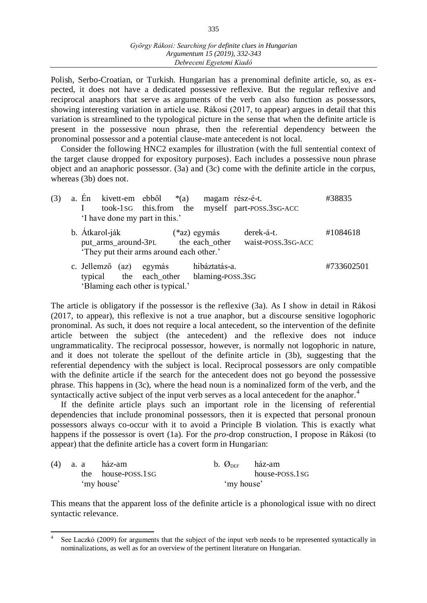Polish, Serbo-Croatian, or Turkish. Hungarian has a prenominal definite article, so, as expected, it does not have a dedicated possessive reflexive. But the regular reflexive and reciprocal anaphors that serve as arguments of the verb can also function as possessors, showing interesting variation in article use. Rákosi (2017, to appear) argues in detail that this variation is streamlined to the typological picture in the sense that when the definite article is present in the possessive noun phrase, then the referential dependency between the pronominal possessor and a potential clause-mate antecedent is not local.

Consider the following HNC2 examples for illustration (with the full sentential context of the target clause dropped for expository purposes). Each includes a possessive noun phrase object and an anaphoric possessor. (3a) and (3c) come with the definite article in the corpus, whereas (3b) does not.

| (3) |                | a. En kivett-em ebből *(a)<br>'I have done my part in this.'                                                         | magam rész-é-t. | took-1sG this.from the myself part-poss.3sG-ACC | #38835     |
|-----|----------------|----------------------------------------------------------------------------------------------------------------------|-----------------|-------------------------------------------------|------------|
|     | b. Atkarol-ják | put_arms_around-3PL the each_other<br>'They put their arms around each other.'                                       | (*az) egymás    | derek-á-t.<br>waist-POSS.3SG-ACC                | #1084618   |
|     |                | c. Jellemző (az) egymás hibáztatás-a.<br>typical the each_other blaming-poss.3sG<br>'Blaming each other is typical.' |                 |                                                 | #733602501 |

The article is obligatory if the possessor is the reflexive (3a). As I show in detail in Rákosi (2017, to appear), this reflexive is not a true anaphor, but a discourse sensitive logophoric pronominal. As such, it does not require a local antecedent, so the intervention of the definite article between the subject (the antecedent) and the reflexive does not induce ungrammaticality. The reciprocal possessor, however, is normally not logophoric in nature, and it does not tolerate the spellout of the definite article in (3b), suggesting that the referential dependency with the subject is local. Reciprocal possessors are only compatible with the definite article if the search for the antecedent does not go beyond the possessive phrase. This happens in (3c), where the head noun is a nominalized form of the verb, and the syntactically active subject of the input verb serves as a local antecedent for the anaphor.<sup>4</sup>

If the definite article plays such an important role in the licensing of referential dependencies that include pronominal possessors, then it is expected that personal pronoun possessors always co-occur with it to avoid a Principle B violation. This is exactly what happens if the possessor is overt (1a). For the *pro*-drop construction, I propose in Rákosi (to appear) that the definite article has a covert form in Hungarian:

|  | $(4)$ a. a ház-am  | b. $\mathcal{O}_{\text{DEF}}$ ház-am |                |
|--|--------------------|--------------------------------------|----------------|
|  | the house-poss.1sG |                                      | house-poss.1sG |
|  | 'my house'         | 'my house'                           |                |

 $\overline{a}$ 

This means that the apparent loss of the definite article is a phonological issue with no direct syntactic relevance.

<sup>4</sup> See Laczkó (2009) for arguments that the subject of the input verb needs to be represented syntactically in nominalizations, as well as for an overview of the pertinent literature on Hungarian.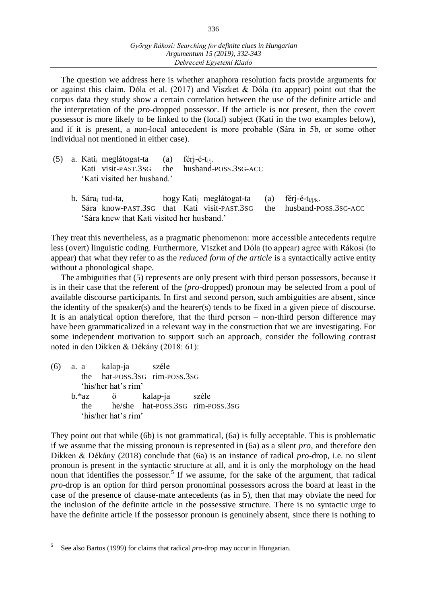The question we address here is whether anaphora resolution facts provide arguments for or against this claim. Dóla et al. (2017) and Viszket & Dóla (to appear) point out that the corpus data they study show a certain correlation between the use of the definite article and the interpretation of the *pro*-dropped possessor. If the article is not present, then the covert possessor is more likely to be linked to the (local) subject (Kati in the two examples below), and if it is present, a non-local antecedent is more probable (Sára in 5b, or some other individual not mentioned in either case).

| (5) a. Kati <sub>i</sub> meglátogat-ta (a) férj-é-t <sub>i/i</sub> . |                                              |
|----------------------------------------------------------------------|----------------------------------------------|
|                                                                      | Kati visit-PAST.3sG the husband-POSS.3sG-ACC |
| 'Kati visited her husband.'                                          |                                              |

b. Sára<sub>i</sub> tud-ta, hogy Kati<sub>i</sub> meglátogat-ta (a) férj-é-t<sub>i/j/k</sub>. Sára know-PAST.3SG that Kati visit-PAST.3SG the husband-POSS.3SG-ACC ʻSára knew that Kati visited her husband.'

They treat this nevertheless, as a pragmatic phenomenon: more accessible antecedents require less (overt) linguistic coding. Furthermore, Viszket and Dóla (to appear) agree with Rákosi (to appear) that what they refer to as the *reduced form of the article* is a syntactically active entity without a phonological shape.

The ambiguities that (5) represents are only present with third person possessors, because it is in their case that the referent of the (*pro*-dropped) pronoun may be selected from a pool of available discourse participants. In first and second person, such ambiguities are absent, since the identity of the speaker(s) and the hearer(s) tends to be fixed in a given piece of discourse. It is an analytical option therefore, that the third person – non-third person difference may have been grammaticalized in a relevant way in the construction that we are investigating. For some independent motivation to support such an approach, consider the following contrast noted in den Dikken & Dékány (2018: 61):

(6) a. a kalap-ja széle the hat-POSS.3SG rim-POSS.3SG ʻhis/her hat's rim' b.\*az ő kalap-ja széle the he/she hat-POSS.3SG rim-POSS.3SG ʻhis/her hat's rim'

They point out that while (6b) is not grammatical, (6a) is fully acceptable. This is problematic if we assume that the missing pronoun is represented in (6a) as a silent *pro*, and therefore den Dikken & Dékány (2018) conclude that (6a) is an instance of radical *pro*-drop, i.e. no silent pronoun is present in the syntactic structure at all, and it is only the morphology on the head noun that identifies the possessor.<sup>5</sup> If we assume, for the sake of the argument, that radical *pro*-drop is an option for third person pronominal possessors across the board at least in the case of the presence of clause-mate antecedents (as in 5), then that may obviate the need for the inclusion of the definite article in the possessive structure. There is no syntactic urge to have the definite article if the possessor pronoun is genuinely absent, since there is nothing to

<sup>5</sup> See also Bartos (1999) for claims that radical *pro*-drop may occur in Hungarian.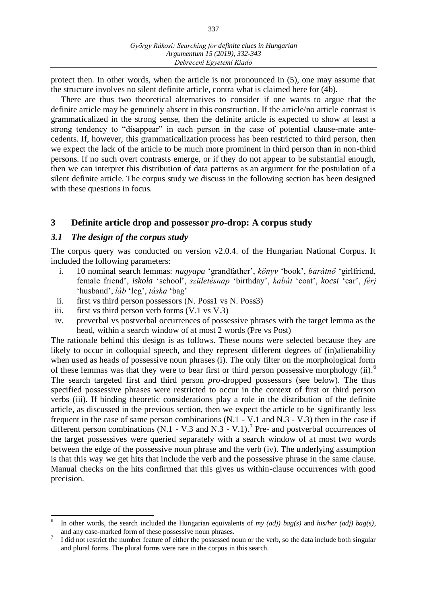protect then. In other words, when the article is not pronounced in (5), one may assume that the structure involves no silent definite article, contra what is claimed here for (4b).

There are thus two theoretical alternatives to consider if one wants to argue that the definite article may be genuinely absent in this construction. If the article/no article contrast is grammaticalized in the strong sense, then the definite article is expected to show at least a strong tendency to "disappear" in each person in the case of potential clause-mate antecedents. If, however, this grammaticalization process has been restricted to third person, then we expect the lack of the article to be much more prominent in third person than in non-third persons. If no such overt contrasts emerge, or if they do not appear to be substantial enough, then we can interpret this distribution of data patterns as an argument for the postulation of a silent definite article. The corpus study we discuss in the following section has been designed with these questions in focus.

#### **3 Definite article drop and possessor** *pro***-drop: A corpus study**

#### *3.1 The design of the corpus study*

The corpus query was conducted on version v2.0.4. of the Hungarian National Corpus. It included the following parameters:

- i. 10 nominal search lemmas: *nagyapa* ʻgrandfather', *könyv* ʻbook', *barátnő* ʻgirlfriend, female friend', *iskola* ʻschool', *születésnap* ʻbirthday', *kabát* ʻcoat', *kocsi* ʻcar', *férj*  ʻhusband', *láb* ʻleg', *táska* ʻbag'
- ii. first vs third person possessors (N. Poss1 vs N. Poss3)
- iii. first vs third person verb forms (V.1 vs V.3)
- iv. preverbal vs postverbal occurrences of possessive phrases with the target lemma as the head, within a search window of at most 2 words (Pre vs Post)

The rationale behind this design is as follows. These nouns were selected because they are likely to occur in colloquial speech, and they represent different degrees of (in)alienability when used as heads of possessive noun phrases (i). The only filter on the morphological form of these lemmas was that they were to bear first or third person possessive morphology (ii).<sup>6</sup> The search targeted first and third person *pro*-dropped possessors (see below). The thus specified possessive phrases were restricted to occur in the context of first or third person verbs (iii). If binding theoretic considerations play a role in the distribution of the definite article, as discussed in the previous section, then we expect the article to be significantly less frequent in the case of same person combinations (N.1 - V.1 and N.3 - V.3) then in the case if different person combinations (N.1 - V.3 and N.3 - V.1).<sup>7</sup> Pre- and postverbal occurrences of the target possessives were queried separately with a search window of at most two words between the edge of the possessive noun phrase and the verb (iv). The underlying assumption is that this way we get hits that include the verb and the possessive phrase in the same clause. Manual checks on the hits confirmed that this gives us within-clause occurrences with good precision.

 6 In other words, the search included the Hungarian equivalents of *my (adj) bag(s)* and *his/her (adj) bag(s)*, and any case-marked form of these possessive noun phrases.

<sup>7</sup> I did not restrict the number feature of either the possessed noun or the verb, so the data include both singular and plural forms. The plural forms were rare in the corpus in this search.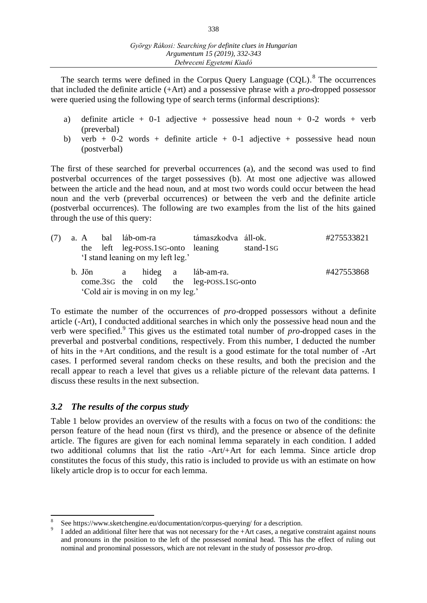The search terms were defined in the Corpus Query Language  $(CQL)$ .<sup>8</sup> The occurrences that included the definite article (+Art) and a possessive phrase with a *pro*-dropped possessor were queried using the following type of search terms (informal descriptions):

- a) definite article + 0-1 adjective + possessive head noun + 0-2 words + verb (preverbal)
- b) verb + 0-2 words + definite article + 0-1 adjective + possessive head noun (postverbal)

The first of these searched for preverbal occurrences (a), and the second was used to find postverbal occurrences of the target possessives (b). At most one adjective was allowed between the article and the head noun, and at most two words could occur between the head noun and the verb (preverbal occurrences) or between the verb and the definite article (postverbal occurrences). The following are two examples from the list of the hits gained through the use of this query:

|  |          |  | the left leg-poss.1sG-onto leaning<br>'I stand leaning on my left leg.' | (7) a. A bal láb-om-ra támaszkodva áll-ok.                    | stand- $1$ sG | #275533821 |
|--|----------|--|-------------------------------------------------------------------------|---------------------------------------------------------------|---------------|------------|
|  | b. Jön a |  | 'Cold air is moving in on my leg.'                                      | hideg a láb-am-ra.<br>come.3sG the cold the leg-POSS.1sG-onto |               | #427553868 |

To estimate the number of the occurrences of *pro*-dropped possessors without a definite article (-Art), I conducted additional searches in which only the possessive head noun and the verb were specified.<sup>9</sup> This gives us the estimated total number of *pro*-dropped cases in the preverbal and postverbal conditions, respectively. From this number, I deducted the number of hits in the +Art conditions, and the result is a good estimate for the total number of -Art cases. I performed several random checks on these results, and both the precision and the recall appear to reach a level that gives us a reliable picture of the relevant data patterns. I discuss these results in the next subsection.

## *3.2 The results of the corpus study*

Table 1 below provides an overview of the results with a focus on two of the conditions: the person feature of the head noun (first vs third), and the presence or absence of the definite article. The figures are given for each nominal lemma separately in each condition. I added two additional columns that list the ratio -Art/+Art for each lemma. Since article drop constitutes the focus of this study, this ratio is included to provide us with an estimate on how likely article drop is to occur for each lemma.

 $\overline{a}$ 8 See https://www.sketchengine.eu/documentation/corpus-querying/ for a description.

<sup>9</sup> I added an additional filter here that was not necessary for the +Art cases, a negative constraint against nouns and pronouns in the position to the left of the possessed nominal head. This has the effect of ruling out nominal and pronominal possessors, which are not relevant in the study of possessor *pro*-drop.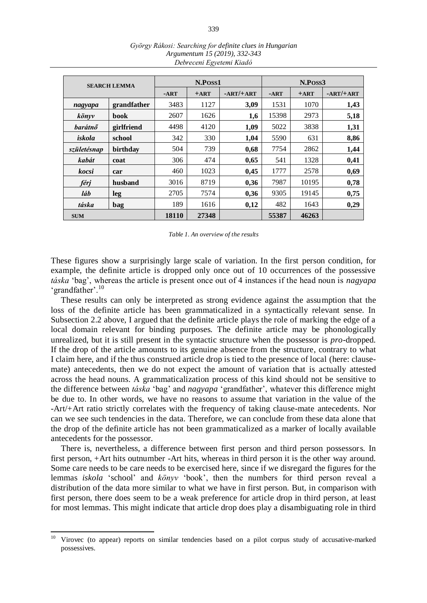|              | <b>SEARCH LEMMA</b> |        | N.Poss1 |             | N.Poss3 |        |             |  |
|--------------|---------------------|--------|---------|-------------|---------|--------|-------------|--|
|              |                     | $-ART$ | $+ART$  | $-ART/+ART$ | $-ART$  | $+ART$ | $-ART/+ART$ |  |
| nagyapa      | grandfather         | 3483   | 1127    | 3,09        | 1531    | 1070   | 1,43        |  |
| könyv        | book                | 2607   | 1626    | 1,6         | 15398   | 2973   | 5,18        |  |
| barátnő      | girlfriend          | 4498   | 4120    | 1,09        | 5022    | 3838   | 1,31        |  |
| iskola       | school              | 342    | 330     | 1,04        | 5590    | 631    | 8,86        |  |
| születésnap  | birthday            | 504    | 739     | 0,68        | 7754    | 2862   | 1,44        |  |
| kabát        | coat                | 306    | 474     | 0,65        | 541     | 1328   | 0,41        |  |
| kocsi        | car                 | 460    | 1023    | 0,45        | 1777    | 2578   | 0,69        |  |
| férj         | husband             | 3016   | 8719    | 0,36        | 7987    | 10195  | 0,78        |  |
| láb          | leg                 | 2705   | 7574    | 0,36        | 9305    | 19145  | 0,75        |  |
| táska<br>bag |                     | 189    | 1616    | 0,12        | 482     | 1643   | 0,29        |  |
| <b>SUM</b>   |                     | 18110  | 27348   |             | 55387   | 46263  |             |  |

*György Rákosi: Searching for definite clues in Hungarian Argumentum 15 (2019), 332-343 Debreceni Egyetemi Kiadó*

|  |  |  | Table 1. An overview of the results |  |  |
|--|--|--|-------------------------------------|--|--|
|--|--|--|-------------------------------------|--|--|

These figures show a surprisingly large scale of variation. In the first person condition, for example, the definite article is dropped only once out of 10 occurrences of the possessive *táska* ʻbag', whereas the article is present once out of 4 instances if the head noun is *nagyapa* ʻgrandfather'.<sup>10</sup>

These results can only be interpreted as strong evidence against the assumption that the loss of the definite article has been grammaticalized in a syntactically relevant sense. In Subsection 2.2 above, I argued that the definite article plays the role of marking the edge of a local domain relevant for binding purposes. The definite article may be phonologically unrealized, but it is still present in the syntactic structure when the possessor is *pro*-dropped. If the drop of the article amounts to its genuine absence from the structure, contrary to what I claim here, and if the thus construed article drop is tied to the presence of local (here: clausemate) antecedents, then we do not expect the amount of variation that is actually attested across the head nouns. A grammaticalization process of this kind should not be sensitive to the difference between *táska* ʻbag' and *nagyapa* ʻgrandfather', whatever this difference might be due to. In other words, we have no reasons to assume that variation in the value of the -Art/+Art ratio strictly correlates with the frequency of taking clause-mate antecedents. Nor can we see such tendencies in the data. Therefore, we can conclude from these data alone that the drop of the definite article has not been grammaticalized as a marker of locally available antecedents for the possessor.

There is, nevertheless, a difference between first person and third person possessors. In first person, +Art hits outnumber -Art hits, whereas in third person it is the other way around. Some care needs to be care needs to be exercised here, since if we disregard the figures for the lemmas *iskola* ʻschool' and *könyv* ʻbook', then the numbers for third person reveal a distribution of the data more similar to what we have in first person. But, in comparison with first person, there does seem to be a weak preference for article drop in third person, at least for most lemmas. This might indicate that article drop does play a disambiguating role in third

<sup>10</sup> <sup>10</sup> Virovec (to appear) reports on similar tendencies based on a pilot corpus study of accusative-marked possessives.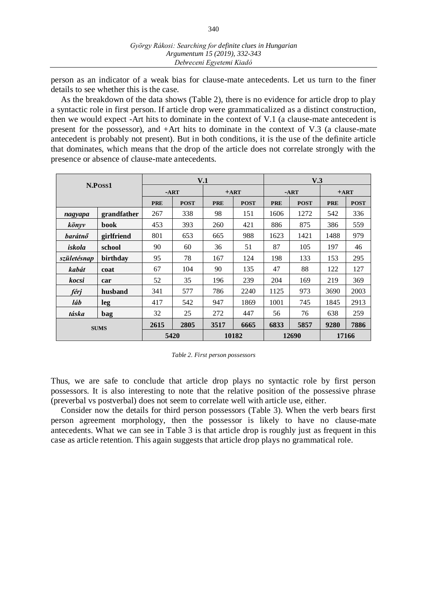person as an indicator of a weak bias for clause-mate antecedents. Let us turn to the finer details to see whether this is the case.

As the breakdown of the data shows (Table 2), there is no evidence for article drop to play a syntactic role in first person. If article drop were grammaticalized as a distinct construction, then we would expect -Art hits to dominate in the context of V.1 (a clause-mate antecedent is present for the possessor), and +Art hits to dominate in the context of V.3 (a clause-mate antecedent is probably not present). But in both conditions, it is the use of the definite article that dominates, which means that the drop of the article does not correlate strongly with the presence or absence of clause-mate antecedents.

|                |             |            |             | V.1        | V.3         |            |             |            |             |  |
|----------------|-------------|------------|-------------|------------|-------------|------------|-------------|------------|-------------|--|
|                | N.Poss1     |            | $-ART$      |            | $+ART$      |            | $-ART$      |            | $+ART$      |  |
|                |             | <b>PRE</b> | <b>POST</b> | <b>PRE</b> | <b>POST</b> | <b>PRE</b> | <b>POST</b> | <b>PRE</b> | <b>POST</b> |  |
| nagyapa        | grandfather | 267        | 338         | 98         | 151         | 1606       | 1272        | 542        | 336         |  |
| könyv          | book        | 453        | 393         | 260        | 421         | 886        | 875         | 386        | 559         |  |
| <b>barátnő</b> | girlfriend  | 801        | 653         | 665        | 988         | 1623       | 1421        | 1488       | 979         |  |
| iskola         | school      | 90         | 60          | 36         | 51          | 87         | 105         | 197        | 46          |  |
| születésnap    | birthday    | 95         | 78          | 167        | 124         | 198        | 133         | 153        | 295         |  |
| kabát          | coat        | 67         | 104         | 90         | 135         | 47         | 88          | 122        | 127         |  |
| kocsi          | car         | 52         | 35          | 196        | 239         | 204        | 169         | 219        | 369         |  |
| férj           | husband     | 341        | 577         | 786        | 2240        | 1125       | 973         | 3690       | 2003        |  |
| láb            | leg         | 417        | 542         | 947        | 1869        | 1001       | 745         | 1845       | 2913        |  |
| táska          | bag         | 32         | 25          | 272        | 447         | 56         | 76          | 638        | 259         |  |
| <b>SUMS</b>    |             | 2615       | 2805        | 3517       | 6665        | 6833       | 5857        | 9280       | 7886        |  |
|                |             | 5420       |             |            | 10182       |            | 12690       | 17166      |             |  |

*Table 2. First person possessors*

Thus, we are safe to conclude that article drop plays no syntactic role by first person possessors. It is also interesting to note that the relative position of the possessive phrase (preverbal vs postverbal) does not seem to correlate well with article use, either.

Consider now the details for third person possessors (Table 3). When the verb bears first person agreement morphology, then the possessor is likely to have no clause-mate antecedents. What we can see in Table 3 is that article drop is roughly just as frequent in this case as article retention. This again suggests that article drop plays no grammatical role.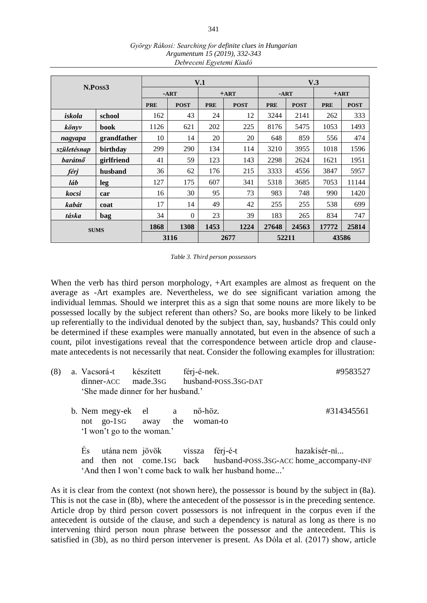|             |             |            | V.1         |            | V.3         |            |             |            |             |
|-------------|-------------|------------|-------------|------------|-------------|------------|-------------|------------|-------------|
|             | N.Poss3     |            |             | $+ART$     |             | $-ART$     |             | $+ART$     |             |
|             |             | <b>PRE</b> | <b>POST</b> | <b>PRE</b> | <b>POST</b> | <b>PRE</b> | <b>POST</b> | <b>PRE</b> | <b>POST</b> |
| iskola      | school      | 162        | 43          | 24         | 12          | 3244       | 2141        | 262        | 333         |
| könyv       | <b>book</b> |            | 621         | 202        | 225         | 8176       | 5475        | 1053       | 1493        |
| nagyapa     | grandfather | 10         | 14          | 20         | 20          | 648        | 859         | 556        | 474         |
| születésnap | birthday    |            | 290         | 134        | 114         | 3210       | 3955        | 1018       | 1596        |
| barátnő     | girlfriend  | 41         | 59          | 123        | 143         | 2298       | 2624        | 1621       | 1951        |
| férj        | husband     | 36         | 62          | 176        | 215         | 3333       | 4556        | 3847       | 5957        |
| láb         | leg         | 127        | 175         | 607        | 341         | 5318       | 3685        | 7053       | 11144       |
| kocsi       | car         | 16         | 30          | 95         | 73          | 983        | 748         | 990        | 1420        |
| kabát       | coat        | 17         | 14          | 49         | 42          | 255        | 255         | 538        | 699         |
| táska       | 34          | $\Omega$   | 23          | 39         | 183         | 265        | 834         | 747        |             |
| <b>SUMS</b> |             | 1868       | 1308        | 1453       | 1224        | 27648      | 24563       | 17772      | 25814       |
|             |             | 3116       |             | 2677       | 52211       |            | 43586       |            |             |

*György Rákosi: Searching for definite clues in Hungarian Argumentum 15 (2019), 332-343 Debreceni Egyetemi Kiadó*

*Table 3. Third person possessors*

When the verb has third person morphology, +Art examples are almost as frequent on the average as -Art examples are. Nevertheless, we do see significant variation among the individual lemmas. Should we interpret this as a sign that some nouns are more likely to be possessed locally by the subject referent than others? So, are books more likely to be linked up referentially to the individual denoted by the subject than, say, husbands? This could only be determined if these examples were manually annotated, but even in the absence of such a count, pilot investigations reveal that the correspondence between article drop and clausemate antecedents is not necessarily that neat. Consider the following examples for illustration:

| (8) |           | a. Vacsorá-t készített | 'She made dinner for her husband.'                                                | férj-é-nek. | dinner-ACC made.3sG husband-POSS.3sG-DAT                          | #9583527                                                                       |
|-----|-----------|------------------------|-----------------------------------------------------------------------------------|-------------|-------------------------------------------------------------------|--------------------------------------------------------------------------------|
|     |           |                        | b. Nem megy-ek el a<br>not go-1sG away the woman-to<br>'I won't go to the woman.' | nő-höz.     |                                                                   | #314345561                                                                     |
|     | És<br>and |                        | utána nem jövök vissza                                                            |             | férj-é-t<br>'And then I won't come back to walk her husband home' | hazakísér-ni<br>then not come.1sG back husband-POSS.3SG-ACC home_accompany-INF |

As it is clear from the context (not shown here), the possessor is bound by the subject in (8a). This is not the case in (8b), where the antecedent of the possessor is in the preceding sentence. Article drop by third person covert possessors is not infrequent in the corpus even if the antecedent is outside of the clause, and such a dependency is natural as long as there is no intervening third person noun phrase between the possessor and the antecedent. This is satisfied in (3b), as no third person intervener is present. As Dóla et al. (2017) show, article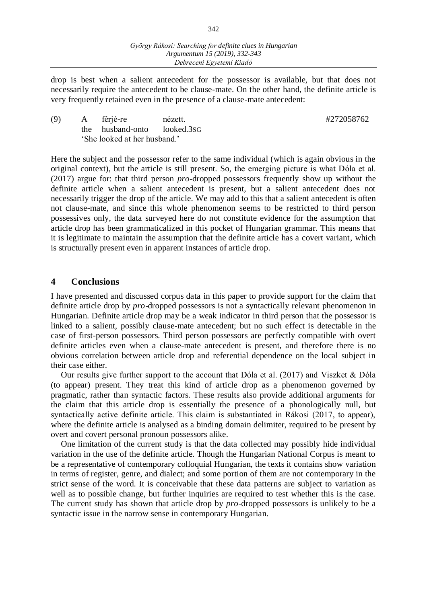drop is best when a salient antecedent for the possessor is available, but that does not necessarily require the antecedent to be clause-mate. On the other hand, the definite article is very frequently retained even in the presence of a clause-mate antecedent:

(9) A férjé-re nézett. #272058762 the husband-onto looked.3SG ʻShe looked at her husband.'

Here the subject and the possessor refer to the same individual (which is again obvious in the original context), but the article is still present. So, the emerging picture is what Dóla et al. (2017) argue for: that third person *pro*-dropped possessors frequently show up without the definite article when a salient antecedent is present, but a salient antecedent does not necessarily trigger the drop of the article. We may add to this that a salient antecedent is often not clause-mate, and since this whole phenomenon seems to be restricted to third person possessives only, the data surveyed here do not constitute evidence for the assumption that article drop has been grammaticalized in this pocket of Hungarian grammar. This means that it is legitimate to maintain the assumption that the definite article has a covert variant, which is structurally present even in apparent instances of article drop.

#### **4 Conclusions**

I have presented and discussed corpus data in this paper to provide support for the claim that definite article drop by *pro*-dropped possessors is not a syntactically relevant phenomenon in Hungarian. Definite article drop may be a weak indicator in third person that the possessor is linked to a salient, possibly clause-mate antecedent; but no such effect is detectable in the case of first-person possessors. Third person possessors are perfectly compatible with overt definite articles even when a clause-mate antecedent is present, and therefore there is no obvious correlation between article drop and referential dependence on the local subject in their case either.

Our results give further support to the account that Dóla et al. (2017) and Viszket & Dóla (to appear) present. They treat this kind of article drop as a phenomenon governed by pragmatic, rather than syntactic factors. These results also provide additional arguments for the claim that this article drop is essentially the presence of a phonologically null, but syntactically active definite article. This claim is substantiated in Rákosi (2017, to appear), where the definite article is analysed as a binding domain delimiter, required to be present by overt and covert personal pronoun possessors alike.

One limitation of the current study is that the data collected may possibly hide individual variation in the use of the definite article. Though the Hungarian National Corpus is meant to be a representative of contemporary colloquial Hungarian, the texts it contains show variation in terms of register, genre, and dialect; and some portion of them are not contemporary in the strict sense of the word. It is conceivable that these data patterns are subject to variation as well as to possible change, but further inquiries are required to test whether this is the case. The current study has shown that article drop by *pro*-dropped possessors is unlikely to be a syntactic issue in the narrow sense in contemporary Hungarian.